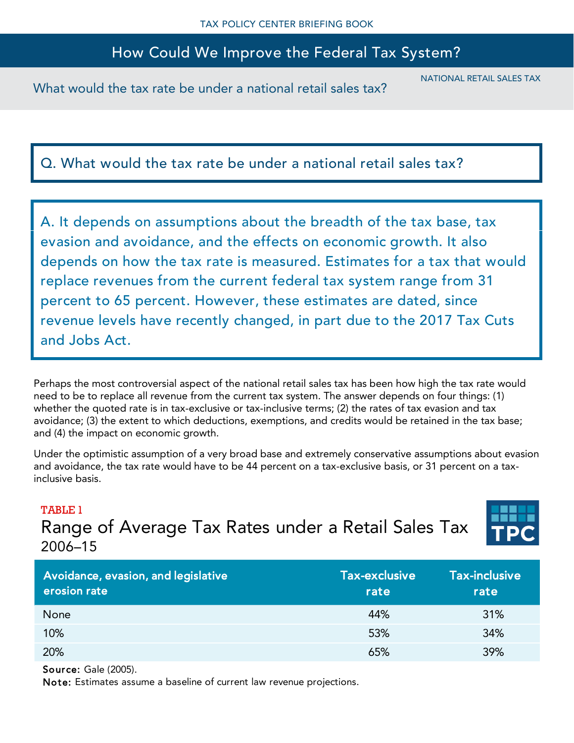# How Could We Improve the Federal Tax System?

What would the tax rate be under a national retail sales tax?

NATIONAL RETAIL SALES TAX

Q. What would the tax rate be under a national retail sales tax?

A. It depends on assumptions about the breadth of the tax base, tax evasion and avoidance, and the effects on economic growth. It also depends on how the tax rate is measured. Estimates for a tax that would replace revenues from the current federal tax system range from 31 percent to 65 percent. However, these estimates are dated, since revenue levels have recently changed, in part due to the 2017 Tax Cuts and Jobs Act.

Perhaps the most controversial aspect of the national retail sales tax has been how high the tax rate would need to be to replace all revenue from the current tax system. The answer depends on four things: (1) whether the quoted rate is in tax-exclusive or tax-inclusive terms; (2) the rates of tax evasion and tax avoidance; (3) the extent to which deductions, exemptions, and credits would be retained in the tax base; and (4) the impact on economic growth.

Under the optimistic assumption of a very broad base and extremely conservative assumptions about evasion and avoidance, the tax rate would have to be 44 percent on a tax-exclusive basis, or 31 percent on a taxinclusive basis.

#### TABLE 1

Range of Average Tax Rates under a Retail Sales Tax 2006–15



| Avoidance, evasion, and legislative<br>erosion rate | Tax-exclusive<br>rate | <b>Tax-inclusive</b><br>rate |
|-----------------------------------------------------|-----------------------|------------------------------|
| None                                                | 44%                   | 31%                          |
| 10%                                                 | 53%                   | 34%                          |
| 20%                                                 | 65%                   | 39%                          |

Source: Gale (2005).

Note: Estimates assume a baseline of current law revenue projections.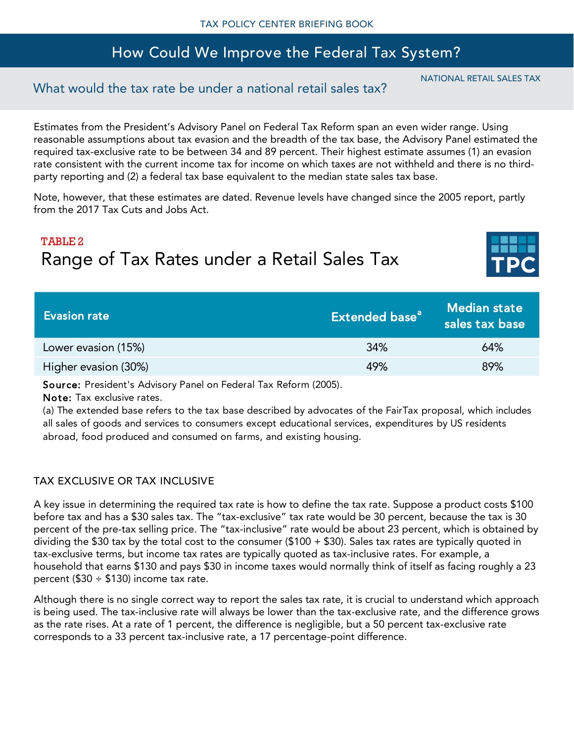## How Could We Improve the Federal Tax System?

### What would the tax rate be under a national retail sales tax?

Estimates from the President's Advisory Panel on Federal Tax Reform span an even wider range. Using reasonable assumptions about tax evasion and the breadth of the tax base, the Advisory Panel estimated the required tax-exclusive rate to be between 34 and 89 percent. Their highest estimate assumes (1) an evasion rate consistent with the current income tax for income on which taxes are not withheld and there is no thirdparty reporting and (2) a federal tax base equivalent to the median state sales tax base.

Note, however, that these estimates are dated. Revenue levels have changed since the 2005 report, partly from the 2017 Tax Cuts and Jobs Act.

# TABLE 2 Range of Tax Rates under a Retail Sales Tax



Source: President's Advisory Panel on Federal Tax Reform (2005).

Note: Tax exclusive rates.

(a) The extended base refers to the tax base described by advocates of the FairTax proposal, which includes all sales of goods and services to consumers except educational services, expenditures by US residents abroad, food produced and consumed on farms, and existing housing.

#### TAX EXCLUSIVE OR TAX INCLUSIVE

A key issue in determining the required tax rate is how to define the tax rate. Suppose a product costs \$100 before tax and has a \$30 sales tax. The "tax-exclusive" tax rate would be 30 percent, because the tax is 30 percent of the pre-tax selling price. The "tax-inclusive" rate would be about 23 percent, which is obtained by dividing the \$30 tax by the total cost to the consumer (\$100 + \$30). Sales tax rates are typically quoted in tax-exclusive terms, but income tax rates are typically quoted as tax-inclusive rates. For example, a household that earns \$130 and pays \$30 in income taxes would normally think of itself as facing roughly a 23 percent ( $$30 \div $130$ ) income tax rate.

Although there is no single correct way to report the sales tax rate, it is crucial to understand which approach is being used. The tax-inclusive rate will always be lower than the tax-exclusive rate, and the difference grows as the rate rises. At a rate of 1 percent, the difference is negligible, but a 50 percent tax-exclusive rate corresponds to a 33 percent tax-inclusive rate, a 17 percentage-point difference.

NATIONAL RETAIL SALES TAX